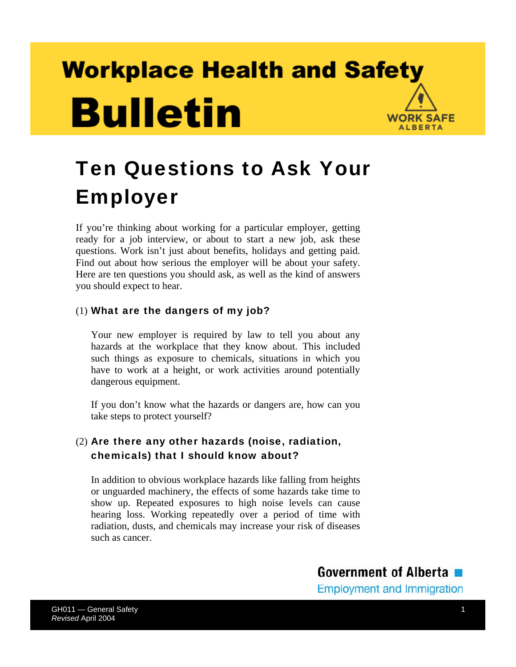# **Workplace Health and Safety Bulletin WORK SAFE ALBERTA**

# Ten Questions to Ask Your Employer

If you're thinking about working for a particular employer, getting ready for a job interview, or about to start a new job, ask these questions. Work isn't just about benefits, holidays and getting paid. Find out about how serious the employer will be about your safety. Here are ten questions you should ask, as well as the kind of answers you should expect to hear.

#### (1) What are the dangers of my job?

Your new employer is required by law to tell you about any hazards at the workplace that they know about. This included such things as exposure to chemicals, situations in which you have to work at a height, or work activities around potentially dangerous equipment.

If you don't know what the hazards or dangers are, how can you take steps to protect yourself?

#### (2) Are there any other hazards (noise, radiation, chemicals) that I should know about?

In addition to obvious workplace hazards like falling from heights or unguarded machinery, the effects of some hazards take time to show up. Repeated exposures to high noise levels can cause hearing loss. Working repeatedly over a period of time with radiation, dusts, and chemicals may increase your risk of diseases such as cancer.

**Government of Alberta** 

**Employment and Immigration**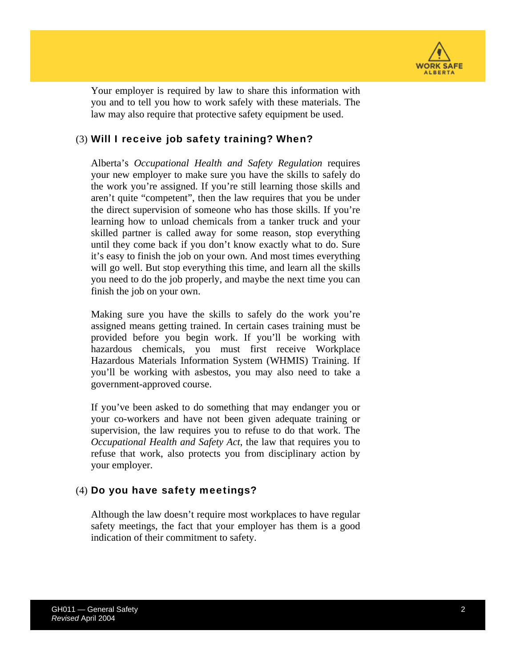

Your employer is required by law to share this information with you and to tell you how to work safely with these materials. The law may also require that protective safety equipment be used.

#### (3) Will I receive job safety training? When?

Alberta's *Occupational Health and Safety Regulation* requires your new employer to make sure you have the skills to safely do the work you're assigned. If you're still learning those skills and aren't quite "competent", then the law requires that you be under the direct supervision of someone who has those skills. If you're learning how to unload chemicals from a tanker truck and your skilled partner is called away for some reason, stop everything until they come back if you don't know exactly what to do. Sure it's easy to finish the job on your own. And most times everything will go well. But stop everything this time, and learn all the skills you need to do the job properly, and maybe the next time you can finish the job on your own.

Making sure you have the skills to safely do the work you're assigned means getting trained. In certain cases training must be provided before you begin work. If you'll be working with hazardous chemicals, you must first receive Workplace Hazardous Materials Information System (WHMIS) Training. If you'll be working with asbestos, you may also need to take a government-approved course.

If you've been asked to do something that may endanger you or your co-workers and have not been given adequate training or supervision, the law requires you to refuse to do that work. The *Occupational Health and Safety Act*, the law that requires you to refuse that work, also protects you from disciplinary action by your employer.

#### (4) Do you have safety meetings?

Although the law doesn't require most workplaces to have regular safety meetings, the fact that your employer has them is a good indication of their commitment to safety.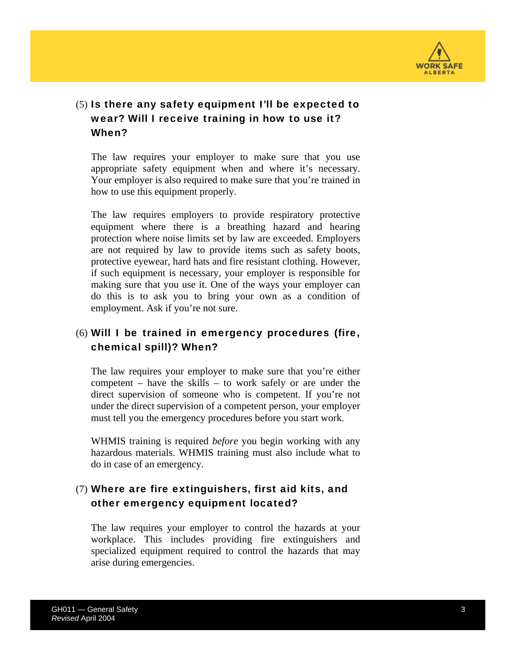

#### (5) Is there any safety equipment I'll be expected to wear? Will I receive training in how to use it? When?

The law requires your employer to make sure that you use appropriate safety equipment when and where it's necessary. Your employer is also required to make sure that you're trained in how to use this equipment properly.

The law requires employers to provide respiratory protective equipment where there is a breathing hazard and hearing protection where noise limits set by law are exceeded. Employers are not required by law to provide items such as safety boots, protective eyewear, hard hats and fire resistant clothing. However, if such equipment is necessary, your employer is responsible for making sure that you use it. One of the ways your employer can do this is to ask you to bring your own as a condition of employment. Ask if you're not sure.

#### (6) Will I be trained in emergency procedures (fire, chemical spill)? When?

The law requires your employer to make sure that you're either competent – have the skills – to work safely or are under the direct supervision of someone who is competent. If you're not under the direct supervision of a competent person, your employer must tell you the emergency procedures before you start work.

WHMIS training is required *before* you begin working with any hazardous materials. WHMIS training must also include what to do in case of an emergency.

#### (7) Where are fire extinguishers, first aid kits, and other emergency equipment located?

The law requires your employer to control the hazards at your workplace. This includes providing fire extinguishers and specialized equipment required to control the hazards that may arise during emergencies.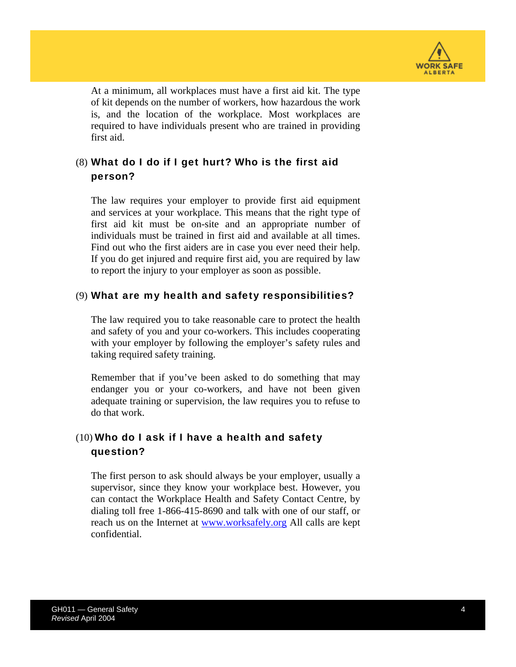

At a minimum, all workplaces must have a first aid kit. The type of kit depends on the number of workers, how hazardous the work is, and the location of the workplace. Most workplaces are required to have individuals present who are trained in providing first aid.

#### (8) What do I do if I get hurt? Who is the first aid person?

The law requires your employer to provide first aid equipment and services at your workplace. This means that the right type of first aid kit must be on-site and an appropriate number of individuals must be trained in first aid and available at all times. Find out who the first aiders are in case you ever need their help. If you do get injured and require first aid, you are required by law to report the injury to your employer as soon as possible.

#### (9) What are my health and safety responsibilities?

The law required you to take reasonable care to protect the health and safety of you and your co-workers. This includes cooperating with your employer by following the employer's safety rules and taking required safety training.

Remember that if you've been asked to do something that may endanger you or your co-workers, and have not been given adequate training or supervision, the law requires you to refuse to do that work.

#### $(10)$  Who do I ask if I have a health and safety question?

The first person to ask should always be your employer, usually a supervisor, since they know your workplace best. However, you can contact the Workplace Health and Safety Contact Centre, by dialing toll free 1-866-415-8690 and talk with one of our staff, or reach us on the Internet at [www.worksafely.org](http://www.worksafely.org/) All calls are kept confidential.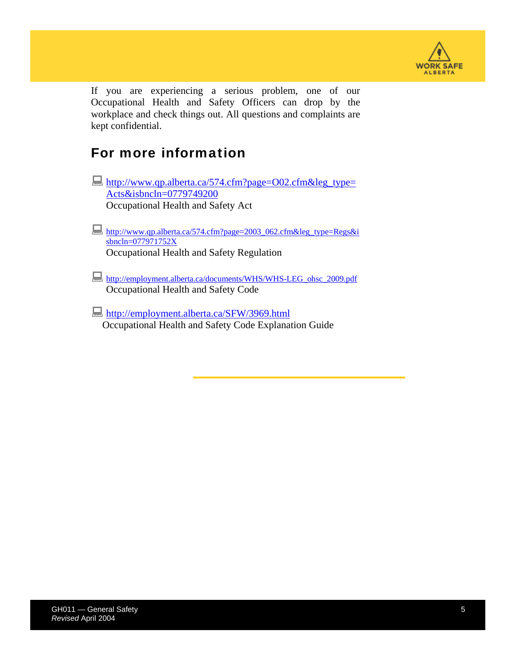

If you are experiencing a serious problem, one of our Occupational Health and Safety Officers can drop by the workplace and check things out. All questions and complaints are kept confidential.

### For more information

- [http://www.qp.alberta.ca/574.cfm?page=O02.cfm&leg\\_type=](http://www.qp.alberta.ca/574.cfm?page=O02.cfm&leg_type=Acts&isbncln=0779749200) [Acts&isbncln=0779749200](http://www.qp.alberta.ca/574.cfm?page=O02.cfm&leg_type=Acts&isbncln=0779749200) Occupational Health and Safety Act
- [http://www.qp.alberta.ca/574.cfm?page=2003\\_062.cfm&leg\\_type=Regs&i](http://www.qp.alberta.ca/574.cfm?page=2003_062.cfm&leg_type=Regs&isbncln=077971752X) [sbncln=077971752X](http://www.qp.alberta.ca/574.cfm?page=2003_062.cfm&leg_type=Regs&isbncln=077971752X) Occupational Health and Safety Regulation
- [http://employment.alberta.ca/documents/WHS/WHS-LEG\\_ohsc\\_2009.pdf](http://employment.alberta.ca/documents/WHS/WHS-LEG_ohsc_2009.pdf) Occupational Health and Safety Code
- <http://employment.alberta.ca/SFW/3969.html> Occupational Health and Safety Code Explanation Guide